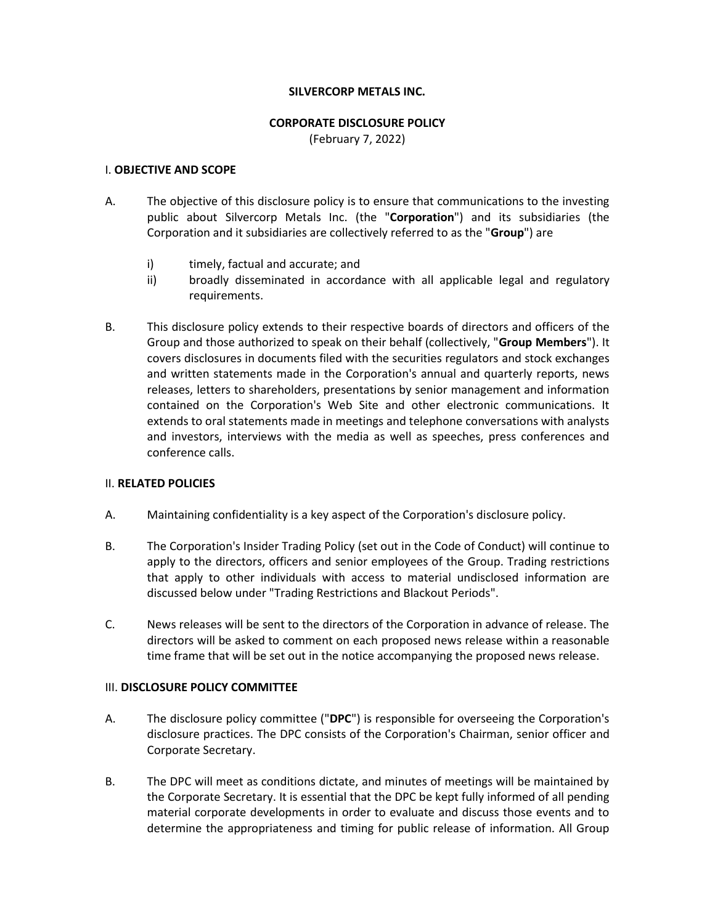### **SILVERCORP METALS INC.**

#### **CORPORATE DISCLOSURE POLICY**

(February 7, 2022)

## I. **OBJECTIVE AND SCOPE**

- A. The objective of this disclosure policy is to ensure that communications to the investing public about Silvercorp Metals Inc. (the "**Corporation**") and its subsidiaries (the Corporation and it subsidiaries are collectively referred to as the "**Group**") are
	- i) timely, factual and accurate; and
	- ii) broadly disseminated in accordance with all applicable legal and regulatory requirements.
- B. This disclosure policy extends to their respective boards of directors and officers of the Group and those authorized to speak on their behalf (collectively, "**Group Members**"). It covers disclosures in documents filed with the securities regulators and stock exchanges and written statements made in the Corporation's annual and quarterly reports, news releases, letters to shareholders, presentations by senior management and information contained on the Corporation's Web Site and other electronic communications. It extends to oral statements made in meetings and telephone conversations with analysts and investors, interviews with the media as well as speeches, press conferences and conference calls.

# II. **RELATED POLICIES**

- A. Maintaining confidentiality is a key aspect of the Corporation's disclosure policy.
- B. The Corporation's Insider Trading Policy (set out in the Code of Conduct) will continue to apply to the directors, officers and senior employees of the Group. Trading restrictions that apply to other individuals with access to material undisclosed information are discussed below under "Trading Restrictions and Blackout Periods".
- C. News releases will be sent to the directors of the Corporation in advance of release. The directors will be asked to comment on each proposed news release within a reasonable time frame that will be set out in the notice accompanying the proposed news release.

# III. **DISCLOSURE POLICY COMMITTEE**

- A. The disclosure policy committee ("**DPC**") is responsible for overseeing the Corporation's disclosure practices. The DPC consists of the Corporation's Chairman, senior officer and Corporate Secretary.
- B. The DPC will meet as conditions dictate, and minutes of meetings will be maintained by the Corporate Secretary. It is essential that the DPC be kept fully informed of all pending material corporate developments in order to evaluate and discuss those events and to determine the appropriateness and timing for public release of information. All Group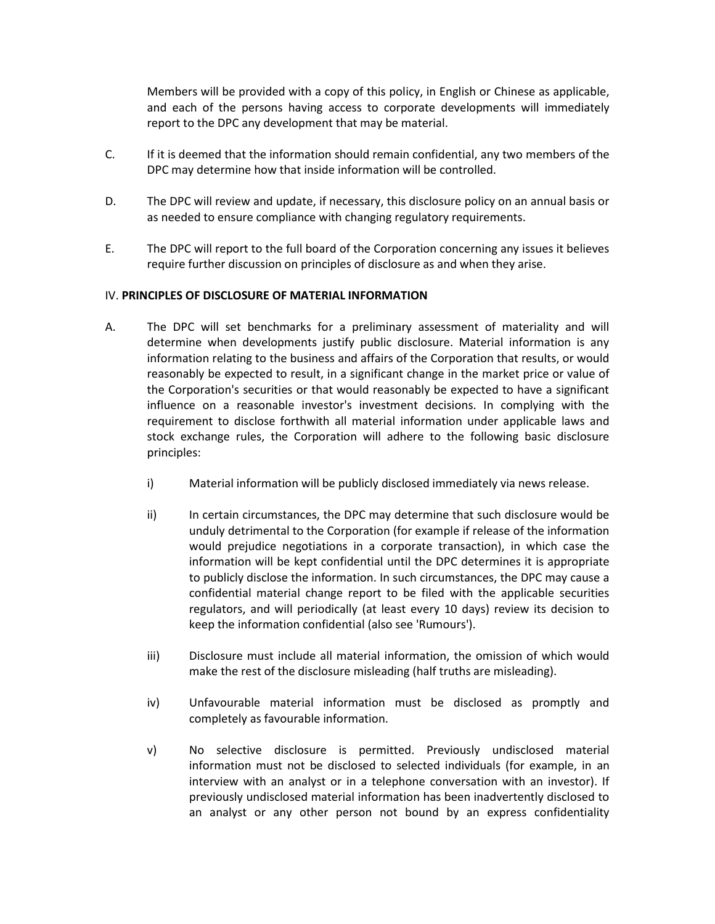Members will be provided with a copy of this policy, in English or Chinese as applicable, and each of the persons having access to corporate developments will immediately report to the DPC any development that may be material.

- C. If it is deemed that the information should remain confidential, any two members of the DPC may determine how that inside information will be controlled.
- D. The DPC will review and update, if necessary, this disclosure policy on an annual basis or as needed to ensure compliance with changing regulatory requirements.
- E. The DPC will report to the full board of the Corporation concerning any issues it believes require further discussion on principles of disclosure as and when they arise.

### IV. **PRINCIPLES OF DISCLOSURE OF MATERIAL INFORMATION**

- A. The DPC will set benchmarks for a preliminary assessment of materiality and will determine when developments justify public disclosure. Material information is any information relating to the business and affairs of the Corporation that results, or would reasonably be expected to result, in a significant change in the market price or value of the Corporation's securities or that would reasonably be expected to have a significant influence on a reasonable investor's investment decisions. In complying with the requirement to disclose forthwith all material information under applicable laws and stock exchange rules, the Corporation will adhere to the following basic disclosure principles:
	- i) Material information will be publicly disclosed immediately via news release.
	- ii) In certain circumstances, the DPC may determine that such disclosure would be unduly detrimental to the Corporation (for example if release of the information would prejudice negotiations in a corporate transaction), in which case the information will be kept confidential until the DPC determines it is appropriate to publicly disclose the information. In such circumstances, the DPC may cause a confidential material change report to be filed with the applicable securities regulators, and will periodically (at least every 10 days) review its decision to keep the information confidential (also see 'Rumours').
	- iii) Disclosure must include all material information, the omission of which would make the rest of the disclosure misleading (half truths are misleading).
	- iv) Unfavourable material information must be disclosed as promptly and completely as favourable information.
	- v) No selective disclosure is permitted. Previously undisclosed material information must not be disclosed to selected individuals (for example, in an interview with an analyst or in a telephone conversation with an investor). If previously undisclosed material information has been inadvertently disclosed to an analyst or any other person not bound by an express confidentiality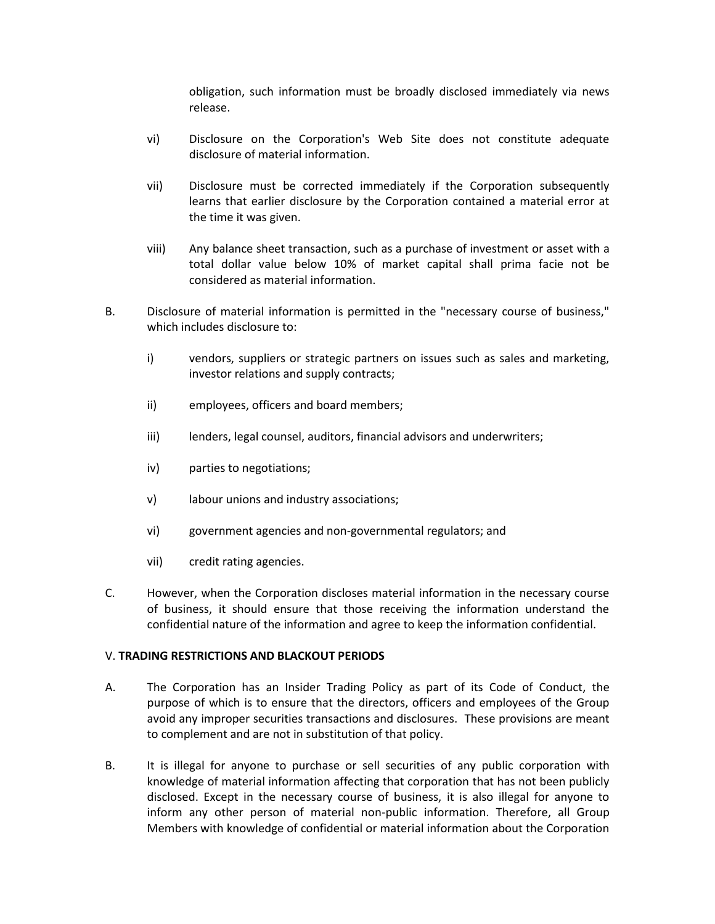obligation, such information must be broadly disclosed immediately via news release.

- vi) Disclosure on the Corporation's Web Site does not constitute adequate disclosure of material information.
- vii) Disclosure must be corrected immediately if the Corporation subsequently learns that earlier disclosure by the Corporation contained a material error at the time it was given.
- viii) Any balance sheet transaction, such as a purchase of investment or asset with a total dollar value below 10% of market capital shall prima facie not be considered as material information.
- B. Disclosure of material information is permitted in the "necessary course of business," which includes disclosure to:
	- i) vendors, suppliers or strategic partners on issues such as sales and marketing, investor relations and supply contracts;
	- ii) employees, officers and board members;
	- iii) lenders, legal counsel, auditors, financial advisors and underwriters;
	- iv) parties to negotiations;
	- v) labour unions and industry associations;
	- vi) government agencies and non-governmental regulators; and
	- vii) credit rating agencies.
- C. However, when the Corporation discloses material information in the necessary course of business, it should ensure that those receiving the information understand the confidential nature of the information and agree to keep the information confidential.

#### V. **TRADING RESTRICTIONS AND BLACKOUT PERIODS**

- A. The Corporation has an Insider Trading Policy as part of its Code of Conduct, the purpose of which is to ensure that the directors, officers and employees of the Group avoid any improper securities transactions and disclosures. These provisions are meant to complement and are not in substitution of that policy.
- B. It is illegal for anyone to purchase or sell securities of any public corporation with knowledge of material information affecting that corporation that has not been publicly disclosed. Except in the necessary course of business, it is also illegal for anyone to inform any other person of material non-public information. Therefore, all Group Members with knowledge of confidential or material information about the Corporation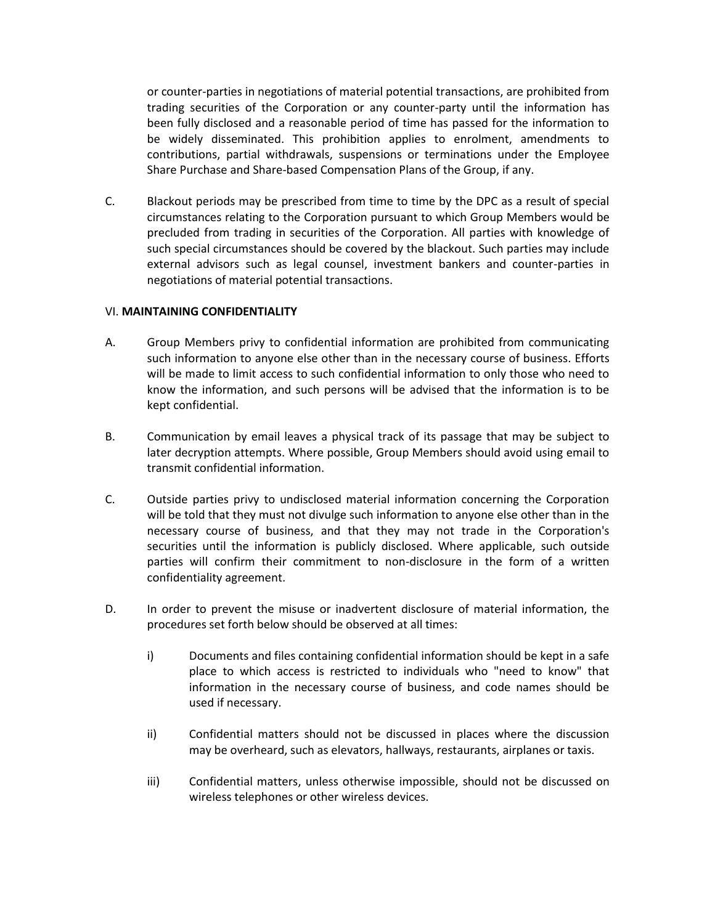or counter-parties in negotiations of material potential transactions, are prohibited from trading securities of the Corporation or any counter-party until the information has been fully disclosed and a reasonable period of time has passed for the information to be widely disseminated. This prohibition applies to enrolment, amendments to contributions, partial withdrawals, suspensions or terminations under the Employee Share Purchase and Share-based Compensation Plans of the Group, if any.

C. Blackout periods may be prescribed from time to time by the DPC as a result of special circumstances relating to the Corporation pursuant to which Group Members would be precluded from trading in securities of the Corporation. All parties with knowledge of such special circumstances should be covered by the blackout. Such parties may include external advisors such as legal counsel, investment bankers and counter-parties in negotiations of material potential transactions.

### VI. **MAINTAINING CONFIDENTIALITY**

- A. Group Members privy to confidential information are prohibited from communicating such information to anyone else other than in the necessary course of business. Efforts will be made to limit access to such confidential information to only those who need to know the information, and such persons will be advised that the information is to be kept confidential.
- B. Communication by email leaves a physical track of its passage that may be subject to later decryption attempts. Where possible, Group Members should avoid using email to transmit confidential information.
- C. Outside parties privy to undisclosed material information concerning the Corporation will be told that they must not divulge such information to anyone else other than in the necessary course of business, and that they may not trade in the Corporation's securities until the information is publicly disclosed. Where applicable, such outside parties will confirm their commitment to non-disclosure in the form of a written confidentiality agreement.
- D. In order to prevent the misuse or inadvertent disclosure of material information, the procedures set forth below should be observed at all times:
	- i) Documents and files containing confidential information should be kept in a safe place to which access is restricted to individuals who "need to know" that information in the necessary course of business, and code names should be used if necessary.
	- ii) Confidential matters should not be discussed in places where the discussion may be overheard, such as elevators, hallways, restaurants, airplanes or taxis.
	- iii) Confidential matters, unless otherwise impossible, should not be discussed on wireless telephones or other wireless devices.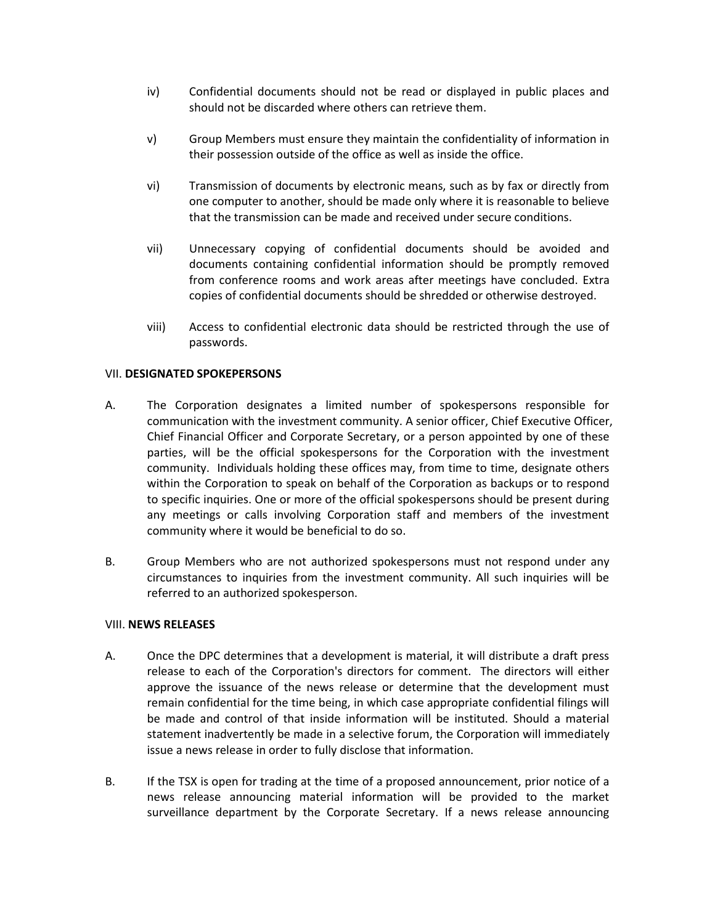- iv) Confidential documents should not be read or displayed in public places and should not be discarded where others can retrieve them.
- v) Group Members must ensure they maintain the confidentiality of information in their possession outside of the office as well as inside the office.
- vi) Transmission of documents by electronic means, such as by fax or directly from one computer to another, should be made only where it is reasonable to believe that the transmission can be made and received under secure conditions.
- vii) Unnecessary copying of confidential documents should be avoided and documents containing confidential information should be promptly removed from conference rooms and work areas after meetings have concluded. Extra copies of confidential documents should be shredded or otherwise destroyed.
- viii) Access to confidential electronic data should be restricted through the use of passwords.

#### VII. **DESIGNATED SPOKEPERSONS**

- A. The Corporation designates a limited number of spokespersons responsible for communication with the investment community. A senior officer, Chief Executive Officer, Chief Financial Officer and Corporate Secretary, or a person appointed by one of these parties, will be the official spokespersons for the Corporation with the investment community. Individuals holding these offices may, from time to time, designate others within the Corporation to speak on behalf of the Corporation as backups or to respond to specific inquiries. One or more of the official spokespersons should be present during any meetings or calls involving Corporation staff and members of the investment community where it would be beneficial to do so.
- B. Group Members who are not authorized spokespersons must not respond under any circumstances to inquiries from the investment community. All such inquiries will be referred to an authorized spokesperson.

#### VIII. **NEWS RELEASES**

- A. Once the DPC determines that a development is material, it will distribute a draft press release to each of the Corporation's directors for comment. The directors will either approve the issuance of the news release or determine that the development must remain confidential for the time being, in which case appropriate confidential filings will be made and control of that inside information will be instituted. Should a material statement inadvertently be made in a selective forum, the Corporation will immediately issue a news release in order to fully disclose that information.
- B. If the TSX is open for trading at the time of a proposed announcement, prior notice of a news release announcing material information will be provided to the market surveillance department by the Corporate Secretary. If a news release announcing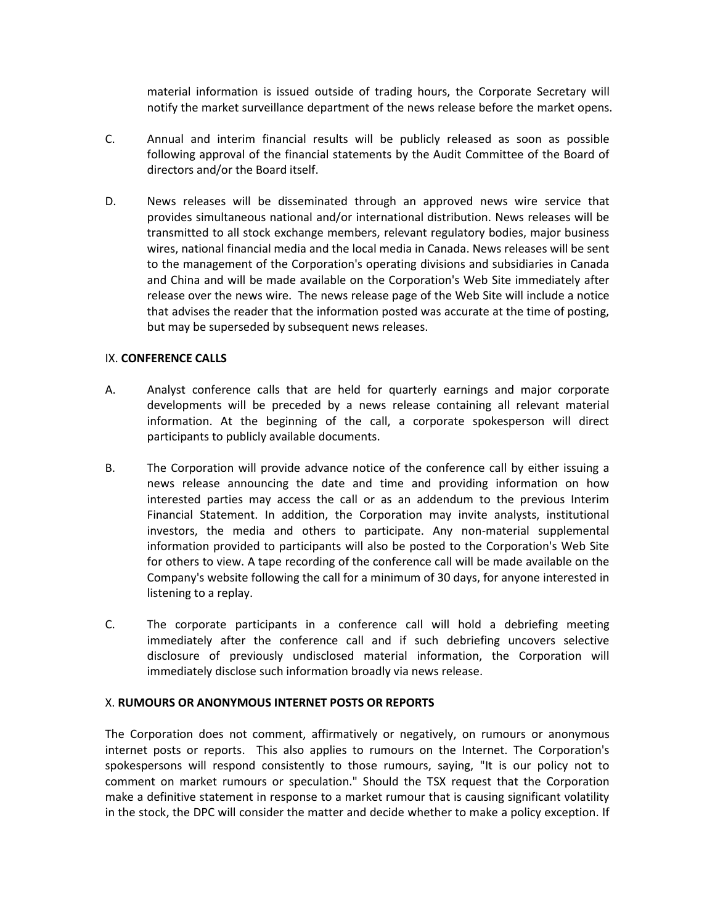material information is issued outside of trading hours, the Corporate Secretary will notify the market surveillance department of the news release before the market opens.

- C. Annual and interim financial results will be publicly released as soon as possible following approval of the financial statements by the Audit Committee of the Board of directors and/or the Board itself.
- D. News releases will be disseminated through an approved news wire service that provides simultaneous national and/or international distribution. News releases will be transmitted to all stock exchange members, relevant regulatory bodies, major business wires, national financial media and the local media in Canada. News releases will be sent to the management of the Corporation's operating divisions and subsidiaries in Canada and China and will be made available on the Corporation's Web Site immediately after release over the news wire. The news release page of the Web Site will include a notice that advises the reader that the information posted was accurate at the time of posting, but may be superseded by subsequent news releases.

### IX. **CONFERENCE CALLS**

- A. Analyst conference calls that are held for quarterly earnings and major corporate developments will be preceded by a news release containing all relevant material information. At the beginning of the call, a corporate spokesperson will direct participants to publicly available documents.
- B. The Corporation will provide advance notice of the conference call by either issuing a news release announcing the date and time and providing information on how interested parties may access the call or as an addendum to the previous Interim Financial Statement. In addition, the Corporation may invite analysts, institutional investors, the media and others to participate. Any non-material supplemental information provided to participants will also be posted to the Corporation's Web Site for others to view. A tape recording of the conference call will be made available on the Company's website following the call for a minimum of 30 days, for anyone interested in listening to a replay.
- C. The corporate participants in a conference call will hold a debriefing meeting immediately after the conference call and if such debriefing uncovers selective disclosure of previously undisclosed material information, the Corporation will immediately disclose such information broadly via news release.

#### X. **RUMOURS OR ANONYMOUS INTERNET POSTS OR REPORTS**

The Corporation does not comment, affirmatively or negatively, on rumours or anonymous internet posts or reports. This also applies to rumours on the Internet. The Corporation's spokespersons will respond consistently to those rumours, saying, "It is our policy not to comment on market rumours or speculation." Should the TSX request that the Corporation make a definitive statement in response to a market rumour that is causing significant volatility in the stock, the DPC will consider the matter and decide whether to make a policy exception. If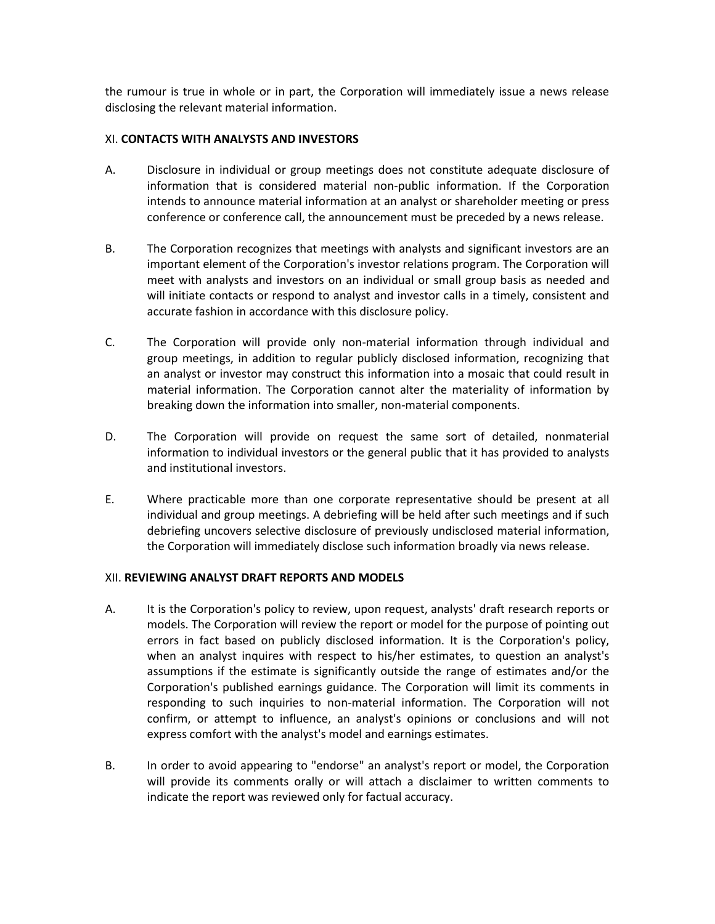the rumour is true in whole or in part, the Corporation will immediately issue a news release disclosing the relevant material information.

#### XI. **CONTACTS WITH ANALYSTS AND INVESTORS**

- A. Disclosure in individual or group meetings does not constitute adequate disclosure of information that is considered material non-public information. If the Corporation intends to announce material information at an analyst or shareholder meeting or press conference or conference call, the announcement must be preceded by a news release.
- B. The Corporation recognizes that meetings with analysts and significant investors are an important element of the Corporation's investor relations program. The Corporation will meet with analysts and investors on an individual or small group basis as needed and will initiate contacts or respond to analyst and investor calls in a timely, consistent and accurate fashion in accordance with this disclosure policy.
- C. The Corporation will provide only non-material information through individual and group meetings, in addition to regular publicly disclosed information, recognizing that an analyst or investor may construct this information into a mosaic that could result in material information. The Corporation cannot alter the materiality of information by breaking down the information into smaller, non-material components.
- D. The Corporation will provide on request the same sort of detailed, nonmaterial information to individual investors or the general public that it has provided to analysts and institutional investors.
- E. Where practicable more than one corporate representative should be present at all individual and group meetings. A debriefing will be held after such meetings and if such debriefing uncovers selective disclosure of previously undisclosed material information, the Corporation will immediately disclose such information broadly via news release.

# XII. **REVIEWING ANALYST DRAFT REPORTS AND MODELS**

- A. It is the Corporation's policy to review, upon request, analysts' draft research reports or models. The Corporation will review the report or model for the purpose of pointing out errors in fact based on publicly disclosed information. It is the Corporation's policy, when an analyst inquires with respect to his/her estimates, to question an analyst's assumptions if the estimate is significantly outside the range of estimates and/or the Corporation's published earnings guidance. The Corporation will limit its comments in responding to such inquiries to non-material information. The Corporation will not confirm, or attempt to influence, an analyst's opinions or conclusions and will not express comfort with the analyst's model and earnings estimates.
- B. In order to avoid appearing to "endorse" an analyst's report or model, the Corporation will provide its comments orally or will attach a disclaimer to written comments to indicate the report was reviewed only for factual accuracy.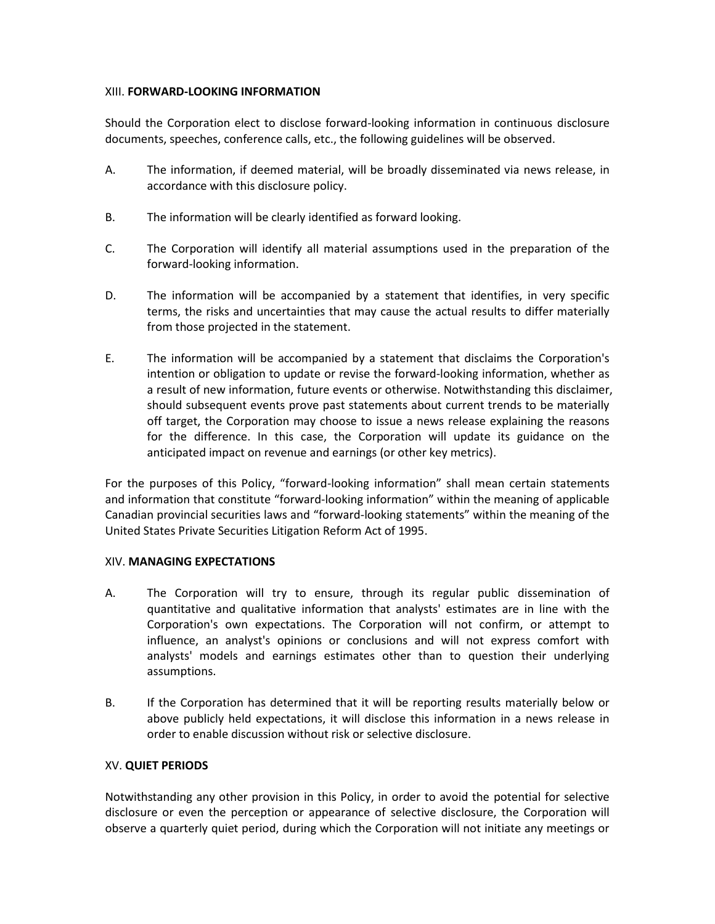## XIII. **FORWARD-LOOKING INFORMATION**

Should the Corporation elect to disclose forward-looking information in continuous disclosure documents, speeches, conference calls, etc., the following guidelines will be observed.

- A. The information, if deemed material, will be broadly disseminated via news release, in accordance with this disclosure policy.
- B. The information will be clearly identified as forward looking.
- C. The Corporation will identify all material assumptions used in the preparation of the forward-looking information.
- D. The information will be accompanied by a statement that identifies, in very specific terms, the risks and uncertainties that may cause the actual results to differ materially from those projected in the statement.
- E. The information will be accompanied by a statement that disclaims the Corporation's intention or obligation to update or revise the forward-looking information, whether as a result of new information, future events or otherwise. Notwithstanding this disclaimer, should subsequent events prove past statements about current trends to be materially off target, the Corporation may choose to issue a news release explaining the reasons for the difference. In this case, the Corporation will update its guidance on the anticipated impact on revenue and earnings (or other key metrics).

For the purposes of this Policy, "forward-looking information" shall mean certain statements and information that constitute "forward-looking information" within the meaning of applicable Canadian provincial securities laws and "forward-looking statements" within the meaning of the United States Private Securities Litigation Reform Act of 1995.

# XIV. **MANAGING EXPECTATIONS**

- A. The Corporation will try to ensure, through its regular public dissemination of quantitative and qualitative information that analysts' estimates are in line with the Corporation's own expectations. The Corporation will not confirm, or attempt to influence, an analyst's opinions or conclusions and will not express comfort with analysts' models and earnings estimates other than to question their underlying assumptions.
- B. If the Corporation has determined that it will be reporting results materially below or above publicly held expectations, it will disclose this information in a news release in order to enable discussion without risk or selective disclosure.

# XV. **QUIET PERIODS**

Notwithstanding any other provision in this Policy, in order to avoid the potential for selective disclosure or even the perception or appearance of selective disclosure, the Corporation will observe a quarterly quiet period, during which the Corporation will not initiate any meetings or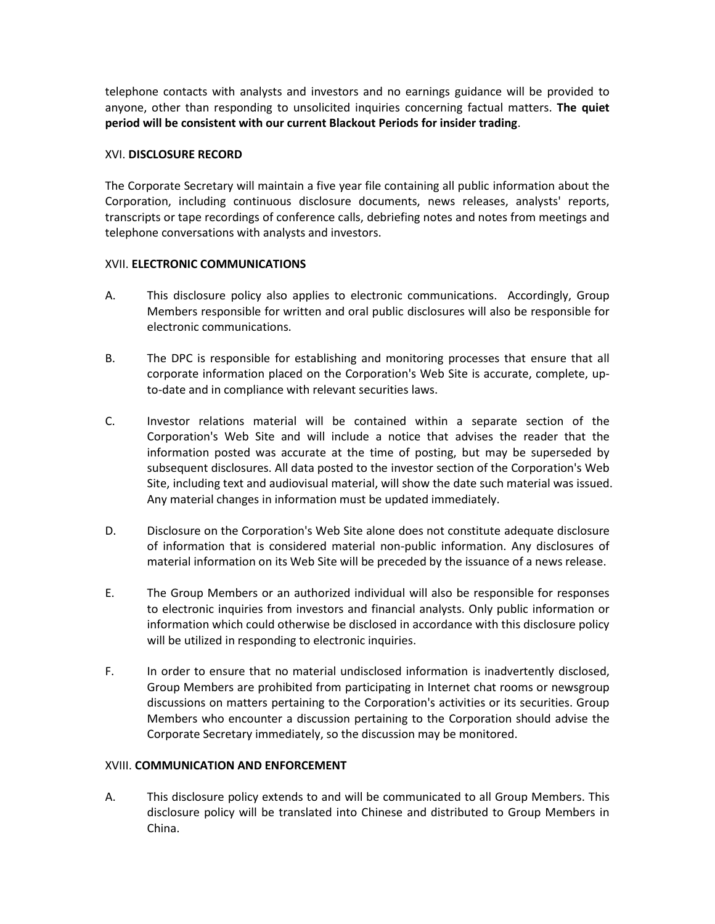telephone contacts with analysts and investors and no earnings guidance will be provided to anyone, other than responding to unsolicited inquiries concerning factual matters. **The quiet period will be consistent with our current Blackout Periods for insider trading**.

## XVI. **DISCLOSURE RECORD**

The Corporate Secretary will maintain a five year file containing all public information about the Corporation, including continuous disclosure documents, news releases, analysts' reports, transcripts or tape recordings of conference calls, debriefing notes and notes from meetings and telephone conversations with analysts and investors.

### XVII. **ELECTRONIC COMMUNICATIONS**

- A. This disclosure policy also applies to electronic communications. Accordingly, Group Members responsible for written and oral public disclosures will also be responsible for electronic communications.
- B. The DPC is responsible for establishing and monitoring processes that ensure that all corporate information placed on the Corporation's Web Site is accurate, complete, upto-date and in compliance with relevant securities laws.
- C. Investor relations material will be contained within a separate section of the Corporation's Web Site and will include a notice that advises the reader that the information posted was accurate at the time of posting, but may be superseded by subsequent disclosures. All data posted to the investor section of the Corporation's Web Site, including text and audiovisual material, will show the date such material was issued. Any material changes in information must be updated immediately.
- D. Disclosure on the Corporation's Web Site alone does not constitute adequate disclosure of information that is considered material non-public information. Any disclosures of material information on its Web Site will be preceded by the issuance of a news release.
- E. The Group Members or an authorized individual will also be responsible for responses to electronic inquiries from investors and financial analysts. Only public information or information which could otherwise be disclosed in accordance with this disclosure policy will be utilized in responding to electronic inquiries.
- F. In order to ensure that no material undisclosed information is inadvertently disclosed, Group Members are prohibited from participating in Internet chat rooms or newsgroup discussions on matters pertaining to the Corporation's activities or its securities. Group Members who encounter a discussion pertaining to the Corporation should advise the Corporate Secretary immediately, so the discussion may be monitored.

# XVIII. **COMMUNICATION AND ENFORCEMENT**

A. This disclosure policy extends to and will be communicated to all Group Members. This disclosure policy will be translated into Chinese and distributed to Group Members in China.